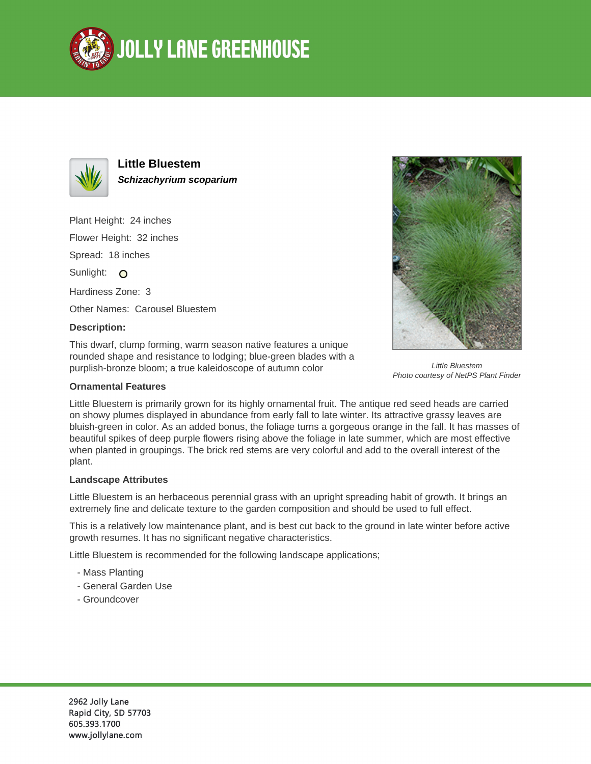



**Little Bluestem Schizachyrium scoparium**

Plant Height: 24 inches Flower Height: 32 inches Spread: 18 inches Sunlight: O Hardiness Zone: 3 Other Names: Carousel Bluestem

## **Description:**

This dwarf, clump forming, warm season native features a unique rounded shape and resistance to lodging; blue-green blades with a purplish-bronze bloom; a true kaleidoscope of autumn color





Little Bluestem Photo courtesy of NetPS Plant Finder

Little Bluestem is primarily grown for its highly ornamental fruit. The antique red seed heads are carried on showy plumes displayed in abundance from early fall to late winter. Its attractive grassy leaves are bluish-green in color. As an added bonus, the foliage turns a gorgeous orange in the fall. It has masses of beautiful spikes of deep purple flowers rising above the foliage in late summer, which are most effective when planted in groupings. The brick red stems are very colorful and add to the overall interest of the plant.

## **Landscape Attributes**

Little Bluestem is an herbaceous perennial grass with an upright spreading habit of growth. It brings an extremely fine and delicate texture to the garden composition and should be used to full effect.

This is a relatively low maintenance plant, and is best cut back to the ground in late winter before active growth resumes. It has no significant negative characteristics.

Little Bluestem is recommended for the following landscape applications;

- Mass Planting
- General Garden Use
- Groundcover